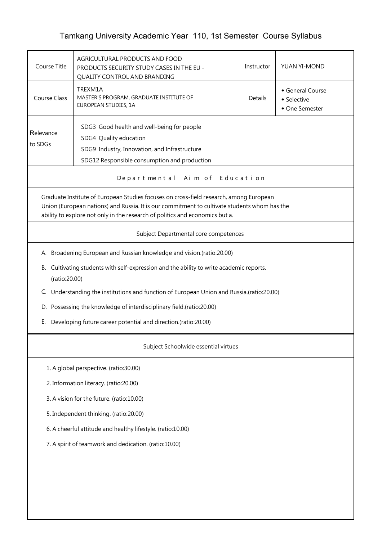## Tamkang University Academic Year 110, 1st Semester Course Syllabus

| Course Title                                                                                             | AGRICULTURAL PRODUCTS AND FOOD<br>PRODUCTS SECURITY STUDY CASES IN THE EU -<br>QUALITY CONTROL AND BRANDING                                                                                                                                                            | Instructor | YUAN YI-MOND                                    |  |  |  |  |  |
|----------------------------------------------------------------------------------------------------------|------------------------------------------------------------------------------------------------------------------------------------------------------------------------------------------------------------------------------------------------------------------------|------------|-------------------------------------------------|--|--|--|--|--|
| <b>Course Class</b>                                                                                      | TREXM1A<br>MASTER'S PROGRAM, GRADUATE INSTITUTE OF<br>EUROPEAN STUDIES, 1A                                                                                                                                                                                             | Details    | General Course<br>• Selective<br>• One Semester |  |  |  |  |  |
| Relevance<br>to SDGs                                                                                     | SDG3 Good health and well-being for people<br>SDG4 Quality education<br>SDG9 Industry, Innovation, and Infrastructure<br>SDG12 Responsible consumption and production                                                                                                  |            |                                                 |  |  |  |  |  |
|                                                                                                          | Departmental Aim of Education                                                                                                                                                                                                                                          |            |                                                 |  |  |  |  |  |
|                                                                                                          | Graduate Institute of European Studies focuses on cross-field research, among European<br>Union (European nations) and Russia. It is our commitment to cultivate students whom has the<br>ability to explore not only in the research of politics and economics but a. |            |                                                 |  |  |  |  |  |
|                                                                                                          | Subject Departmental core competences                                                                                                                                                                                                                                  |            |                                                 |  |  |  |  |  |
|                                                                                                          | A. Broadening European and Russian knowledge and vision.(ratio:20.00)                                                                                                                                                                                                  |            |                                                 |  |  |  |  |  |
| B. Cultivating students with self-expression and the ability to write academic reports.<br>(ratio:20.00) |                                                                                                                                                                                                                                                                        |            |                                                 |  |  |  |  |  |
|                                                                                                          | C. Understanding the institutions and function of European Union and Russia.(ratio:20.00)                                                                                                                                                                              |            |                                                 |  |  |  |  |  |
|                                                                                                          | D. Possessing the knowledge of interdisciplinary field.(ratio:20.00)                                                                                                                                                                                                   |            |                                                 |  |  |  |  |  |
| Е.                                                                                                       | Developing future career potential and direction.(ratio:20.00)                                                                                                                                                                                                         |            |                                                 |  |  |  |  |  |
|                                                                                                          | Subject Schoolwide essential virtues                                                                                                                                                                                                                                   |            |                                                 |  |  |  |  |  |
|                                                                                                          | 1. A global perspective. (ratio:30.00)                                                                                                                                                                                                                                 |            |                                                 |  |  |  |  |  |
|                                                                                                          | 2. Information literacy. (ratio:20.00)                                                                                                                                                                                                                                 |            |                                                 |  |  |  |  |  |
| 3. A vision for the future. (ratio:10.00)                                                                |                                                                                                                                                                                                                                                                        |            |                                                 |  |  |  |  |  |
| 5. Independent thinking. (ratio:20.00)                                                                   |                                                                                                                                                                                                                                                                        |            |                                                 |  |  |  |  |  |
| 6. A cheerful attitude and healthy lifestyle. (ratio:10.00)                                              |                                                                                                                                                                                                                                                                        |            |                                                 |  |  |  |  |  |
| 7. A spirit of teamwork and dedication. (ratio:10.00)                                                    |                                                                                                                                                                                                                                                                        |            |                                                 |  |  |  |  |  |
|                                                                                                          |                                                                                                                                                                                                                                                                        |            |                                                 |  |  |  |  |  |
|                                                                                                          |                                                                                                                                                                                                                                                                        |            |                                                 |  |  |  |  |  |
|                                                                                                          |                                                                                                                                                                                                                                                                        |            |                                                 |  |  |  |  |  |
|                                                                                                          |                                                                                                                                                                                                                                                                        |            |                                                 |  |  |  |  |  |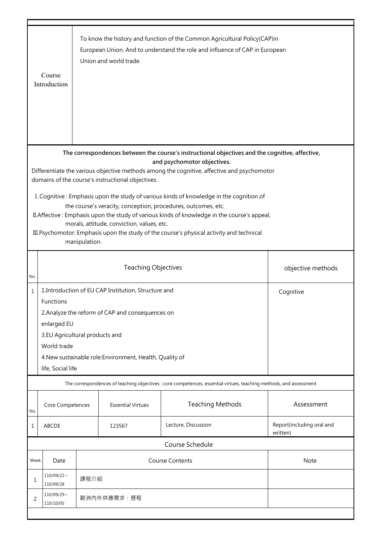|                                                                                                                                                                                                                                                                                                                                                                                                                                                                                                                                                                                                                                                                                                           | Course<br>Introduction                                                                                                                                                                                                                                                                     |                                                 | Union and world trade.   | To know the history and function of the Common Agricultural Policy(CAP)in<br>European Union. And to understand the role and influence of CAP in European |                                       |  |  |
|-----------------------------------------------------------------------------------------------------------------------------------------------------------------------------------------------------------------------------------------------------------------------------------------------------------------------------------------------------------------------------------------------------------------------------------------------------------------------------------------------------------------------------------------------------------------------------------------------------------------------------------------------------------------------------------------------------------|--------------------------------------------------------------------------------------------------------------------------------------------------------------------------------------------------------------------------------------------------------------------------------------------|-------------------------------------------------|--------------------------|----------------------------------------------------------------------------------------------------------------------------------------------------------|---------------------------------------|--|--|
| The correspondences between the course's instructional objectives and the cognitive, affective,<br>and psychomotor objectives.<br>Differentiate the various objective methods among the cognitive, affective and psychomotor<br>domains of the course's instructional objectives.<br>I. Cognitive: Emphasis upon the study of various kinds of knowledge in the cognition of<br>the course's veracity, conception, procedures, outcomes, etc.<br>II. Affective: Emphasis upon the study of various kinds of knowledge in the course's appeal,<br>morals, attitude, conviction, values, etc.<br>III. Psychomotor: Emphasis upon the study of the course's physical activity and technical<br>manipulation. |                                                                                                                                                                                                                                                                                            |                                                 |                          |                                                                                                                                                          |                                       |  |  |
| No.                                                                                                                                                                                                                                                                                                                                                                                                                                                                                                                                                                                                                                                                                                       |                                                                                                                                                                                                                                                                                            | <b>Teaching Objectives</b><br>objective methods |                          |                                                                                                                                                          |                                       |  |  |
| $\mathbf{1}$                                                                                                                                                                                                                                                                                                                                                                                                                                                                                                                                                                                                                                                                                              | 1. Introduction of EU CAP Institution, Structure and<br>Cognitive<br><b>Functions</b><br>2. Analyze the reform of CAP and consequences on<br>enlarged EU<br>3.EU Agricultural products and<br>World trade<br>4. New sustainable role: Environment, Health, Quality of<br>life, Social life |                                                 |                          |                                                                                                                                                          |                                       |  |  |
|                                                                                                                                                                                                                                                                                                                                                                                                                                                                                                                                                                                                                                                                                                           |                                                                                                                                                                                                                                                                                            |                                                 |                          | The correspondences of teaching objectives : core competences, essential virtues, teaching methods, and assessment                                       |                                       |  |  |
| No.                                                                                                                                                                                                                                                                                                                                                                                                                                                                                                                                                                                                                                                                                                       | Core Competences                                                                                                                                                                                                                                                                           |                                                 | <b>Essential Virtues</b> | <b>Teaching Methods</b>                                                                                                                                  | Assessment                            |  |  |
| 1                                                                                                                                                                                                                                                                                                                                                                                                                                                                                                                                                                                                                                                                                                         | ABCDE                                                                                                                                                                                                                                                                                      |                                                 | 123567                   | Lecture, Discussion                                                                                                                                      | Report(including oral and<br>written) |  |  |
|                                                                                                                                                                                                                                                                                                                                                                                                                                                                                                                                                                                                                                                                                                           |                                                                                                                                                                                                                                                                                            |                                                 |                          | Course Schedule                                                                                                                                          |                                       |  |  |
| Week                                                                                                                                                                                                                                                                                                                                                                                                                                                                                                                                                                                                                                                                                                      | <b>Course Contents</b><br>Date                                                                                                                                                                                                                                                             |                                                 |                          | Note                                                                                                                                                     |                                       |  |  |
| 1                                                                                                                                                                                                                                                                                                                                                                                                                                                                                                                                                                                                                                                                                                         | $110/09/22$ ~<br>110/09/28                                                                                                                                                                                                                                                                 | 課程介紹                                            |                          |                                                                                                                                                          |                                       |  |  |
| 2                                                                                                                                                                                                                                                                                                                                                                                                                                                                                                                                                                                                                                                                                                         | $110/09/29$ ~<br>歐洲內外供應需求、歷程<br>110/10/05                                                                                                                                                                                                                                                  |                                                 |                          |                                                                                                                                                          |                                       |  |  |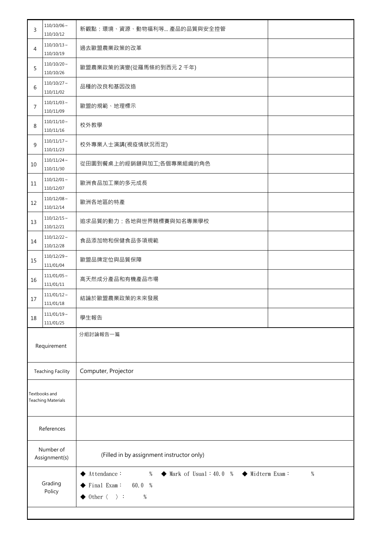| 3                                   | $110/10/06 \sim$<br>110/10/12                | 新觀點:環境、資源、動物福利等 產品的品質與安全控管                                                                                                                                                                                                                  |  |  |
|-------------------------------------|----------------------------------------------|---------------------------------------------------------------------------------------------------------------------------------------------------------------------------------------------------------------------------------------------|--|--|
| 4                                   | $110/10/13 \sim$<br>110/10/19                | 過去歐盟農業政策的改革                                                                                                                                                                                                                                 |  |  |
| 5                                   | $110/10/20 \sim$<br>110/10/26                | 歐盟農業政策的演變(從羅馬條約到西元2千年)                                                                                                                                                                                                                      |  |  |
| 6                                   | $110/10/27 \sim$<br>110/11/02                | 品種的改良和基因改造                                                                                                                                                                                                                                  |  |  |
| 7                                   | $110/11/03 \sim$<br>110/11/09                | 歐盟的規範、地理標示                                                                                                                                                                                                                                  |  |  |
| 8                                   | $110/11/10 \sim$<br>110/11/16                | 校外教學                                                                                                                                                                                                                                        |  |  |
| 9                                   | $110/11/17 \sim$<br>110/11/23                | 校外專業人士演講(視疫情狀況而定)                                                                                                                                                                                                                           |  |  |
| 10                                  | $110/11/24$ ~<br>110/11/30                   | 從田園到餐桌上的經銷鏈與加工;各個專業組織的角色                                                                                                                                                                                                                    |  |  |
| 11                                  | $110/12/01 \sim$<br>110/12/07                | 歐洲食品加工業的多元成長                                                                                                                                                                                                                                |  |  |
| 12                                  | $110/12/08 \sim$<br>110/12/14                | 歐洲各地區的特產                                                                                                                                                                                                                                    |  |  |
| 13                                  | $110/12/15 \sim$<br>110/12/21                | 追求品質的動力:各地與世界競標賽與知名專業學校                                                                                                                                                                                                                     |  |  |
| 14                                  | $110/12/22$ ~<br>110/12/28                   | 食品添加物和保健食品多項規範                                                                                                                                                                                                                              |  |  |
| 15                                  | $110/12/29$ ~<br>111/01/04                   | 歐盟品牌定位與品質保障                                                                                                                                                                                                                                 |  |  |
| 16                                  | $111/01/05$ ~<br>111/01/11                   | 高天然成分產品和有機產品市場                                                                                                                                                                                                                              |  |  |
| 17                                  | $111/01/12$ ~<br>結論於歐盟農業政策的未來發展<br>111/01/18 |                                                                                                                                                                                                                                             |  |  |
| 18                                  | $111/01/19$ ~<br>111/01/25                   | 學生報告                                                                                                                                                                                                                                        |  |  |
|                                     |                                              | 分組討論報告一篇                                                                                                                                                                                                                                    |  |  |
|                                     | Requirement                                  |                                                                                                                                                                                                                                             |  |  |
|                                     | <b>Teaching Facility</b>                     | Computer, Projector                                                                                                                                                                                                                         |  |  |
| Textbooks and<br>Teaching Materials |                                              |                                                                                                                                                                                                                                             |  |  |
| References                          |                                              |                                                                                                                                                                                                                                             |  |  |
| Number of<br>Assignment(s)          |                                              | (Filled in by assignment instructor only)                                                                                                                                                                                                   |  |  |
|                                     | Grading<br>Policy                            | $\blacktriangleright \; \text{Attendance} :$<br>$\%$<br>$\blacklozenge$ Midterm Exam:<br>$\%$<br>$\blacklozenge$ Mark of Usual : 40.0 %<br>$\blacktriangleright$ Final Exam:<br>60.0 %<br>$\blacklozenge$ 0ther $\langle \rangle$ :<br>$\%$ |  |  |
|                                     |                                              |                                                                                                                                                                                                                                             |  |  |